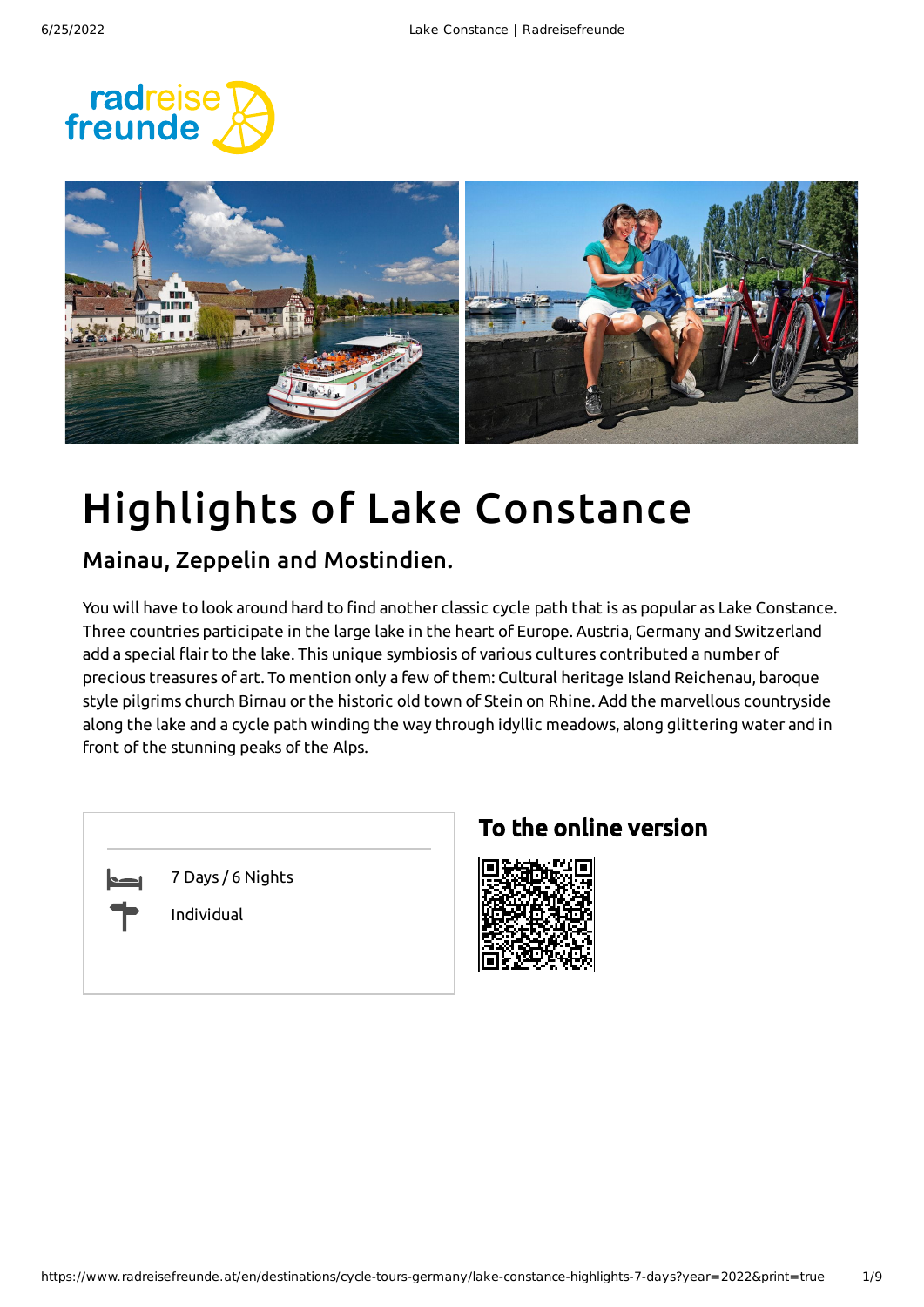



# Highlights of Lake Constance

### Mainau, Zeppelin and Mostindien.

You will have to look around hard to find another classic cycle path that is as popular as Lake Constance. Three countries participate in the large lake in the heart of Europe. Austria, Germany and Switzerland add a special flair to the lake. This unique symbiosis of various cultures contributed a number of precious treasures of art. To mention only a few of them: Cultural heritage Island Reichenau, baroque style pilgrims church Birnau or the historic old town of Stein on Rhine. Add the marvellous countryside along the lake and a cycle path winding the way through idyllic meadows, along glittering water and in front of the stunning peaks of the Alps.

| 7 Days / 6 Nights<br>Individual |
|---------------------------------|
|                                 |

### To the online version

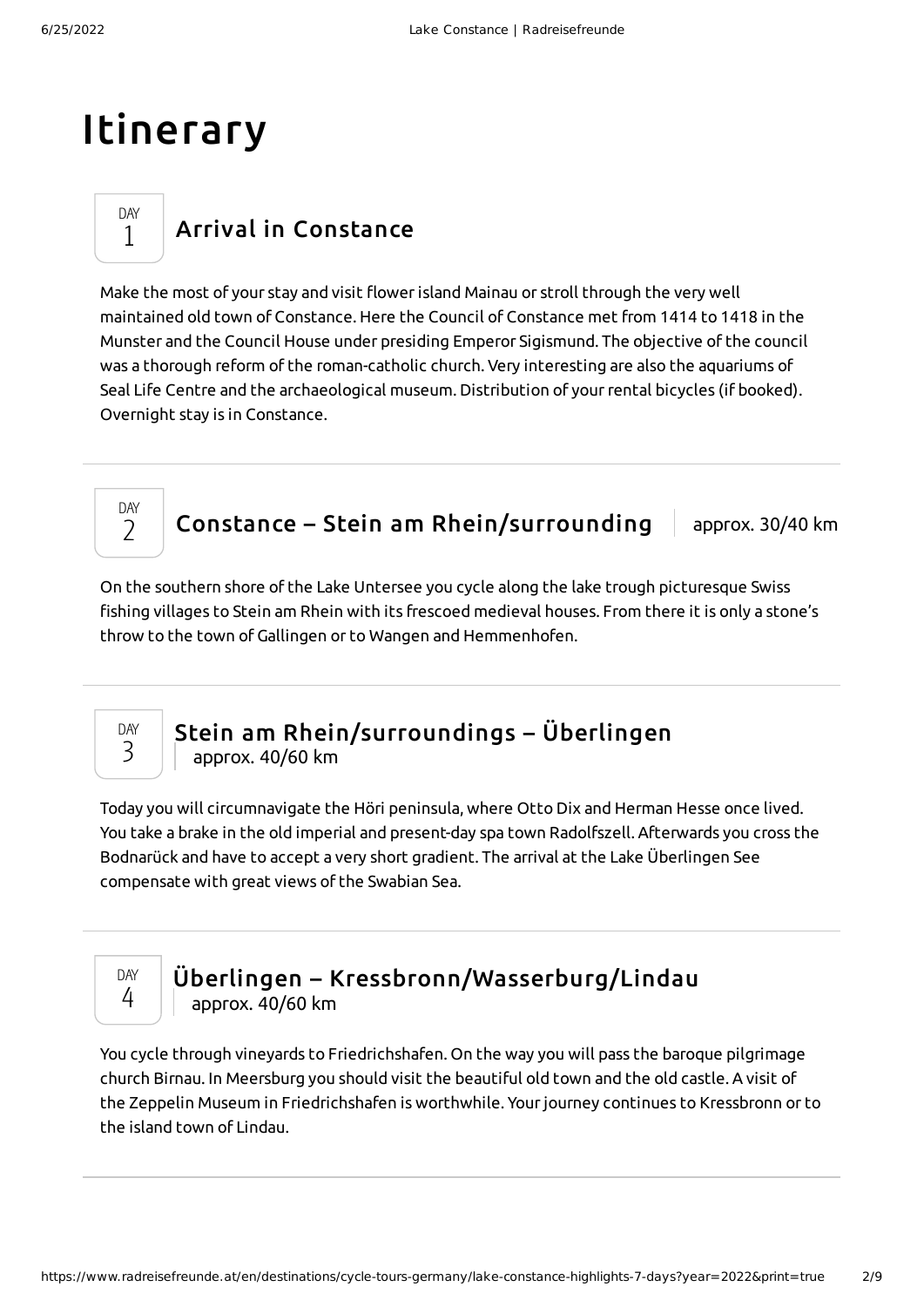## Itinerary

DAY 1

### Arrival in [Constance](#page-1-0)

<span id="page-1-0"></span>Make the most of your stay and visit flowerisland Mainau or stroll through the very well maintained old town of Constance. Here the Council of Constance met from 1414 to 1418 in the Munster and the Council House under presiding Emperor Sigismund. The objective of the council was a thorough reform of the roman-catholic church. Very interesting are also the aquariums of Seal Life Centre and the archaeological museum. Distribution of your rental bicycles (if booked). Overnight stay is in Constance.

#### DAY  $\overline{\phantom{a}}$

### Constance – Stein am [Rhein/surrounding](#page-1-1)  $\parallel$  approx. 30/40 km

<span id="page-1-1"></span>On the southern shore of the Lake Untersee you cycle along the lake trough picturesque Swiss fishing villages to Stein am Rhein with its frescoed medieval houses. From there it is only a stone's throw to the town of Gallingen or to Wangen and Hemmenhofen.



## Stein am [Rhein/surroundings](#page-1-2) – Überlingen

approx. 40/60 km

<span id="page-1-2"></span>Today you will circumnavigate the Höri peninsula, where Otto Dix and Herman Hesse once lived. You take a brake in the old imperial and present-day spa town Radolfszell. Afterwards you cross the Bodnarück and have to accept a very short gradient. The arrival at the Lake Überlingen See compensate with great views of the Swabian Sea.

DAY 4

### Überlingen – [Kressbronn/Wasserburg/Lindau](#page-1-3) approx. 40/60 km

<span id="page-1-3"></span>You cycle through vineyards to Friedrichshafen. On the way you will pass the baroque pilgrimage church Birnau. In Meersburg you should visit the beautiful old town and the old castle. A visit of the Zeppelin Museum in Friedrichshafen is worthwhile. Yourjourney continues to Kressbronn or to the island town of Lindau.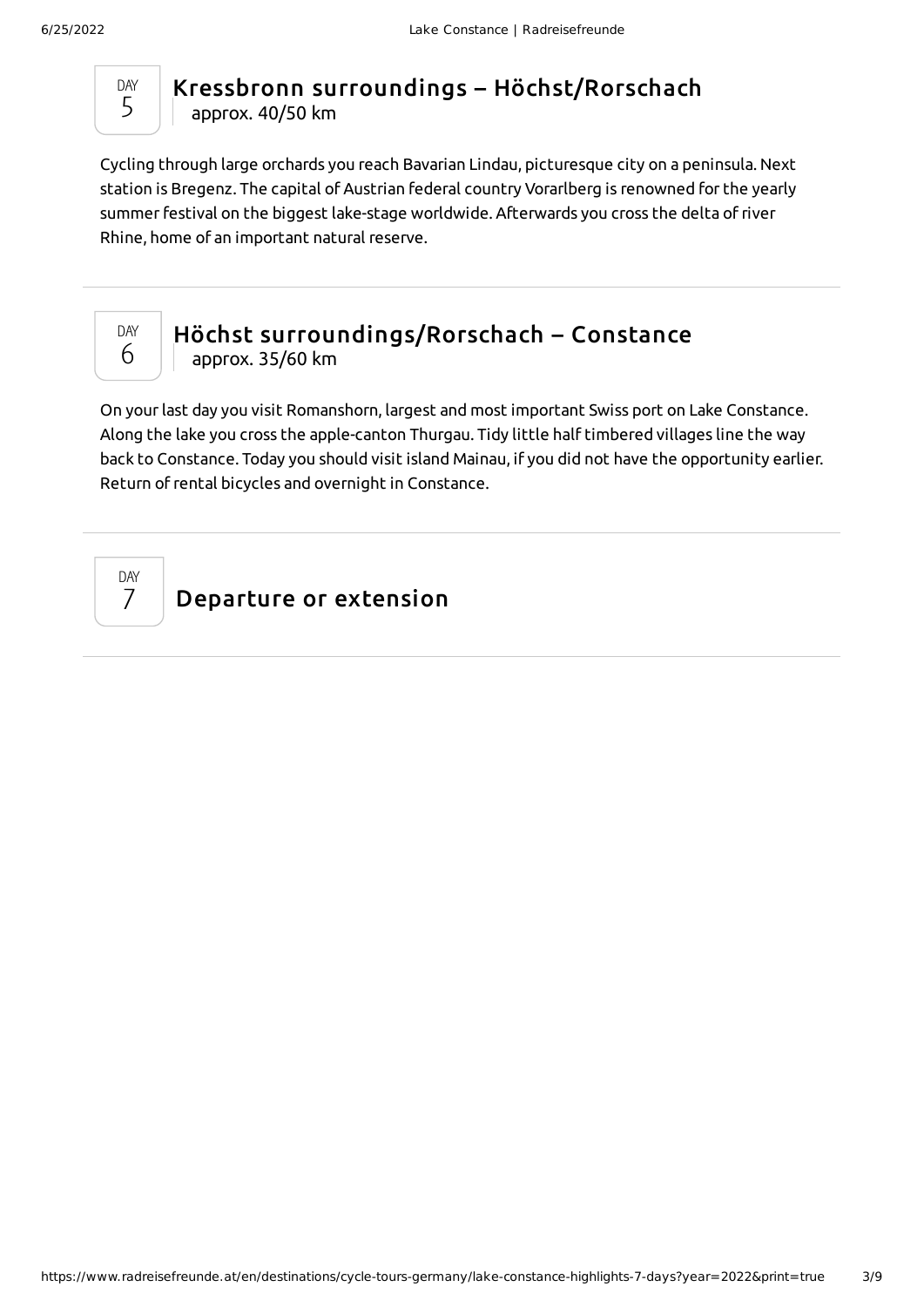

### Kressbronn surroundings – [Höchst/Rorschach](#page-2-0) approx. 40/50 km

<span id="page-2-0"></span>Cycling through large orchards you reach Bavarian Lindau, picturesque city on a peninsula. Next station is Bregenz. The capital of Austrian federal country Vorarlberg is renowned for the yearly summer festival on the biggest lake-stage worldwide. Afterwards you cross the delta of river Rhine, home of an important natural reserve.



### Höchst [surroundings/Rorschach](#page-2-1) – Constance approx. 35/60 km

<span id="page-2-1"></span>On yourlast day you visit Romanshorn, largest and most important Swiss port on Lake Constance. Along the lake you cross the apple-canton Thurgau. Tidy little half timbered villages line the way back to Constance. Today you should visit island Mainau, if you did not have the opportunity earlier. Return of rental bicycles and overnight in Constance.

DAY 7

Departure or extension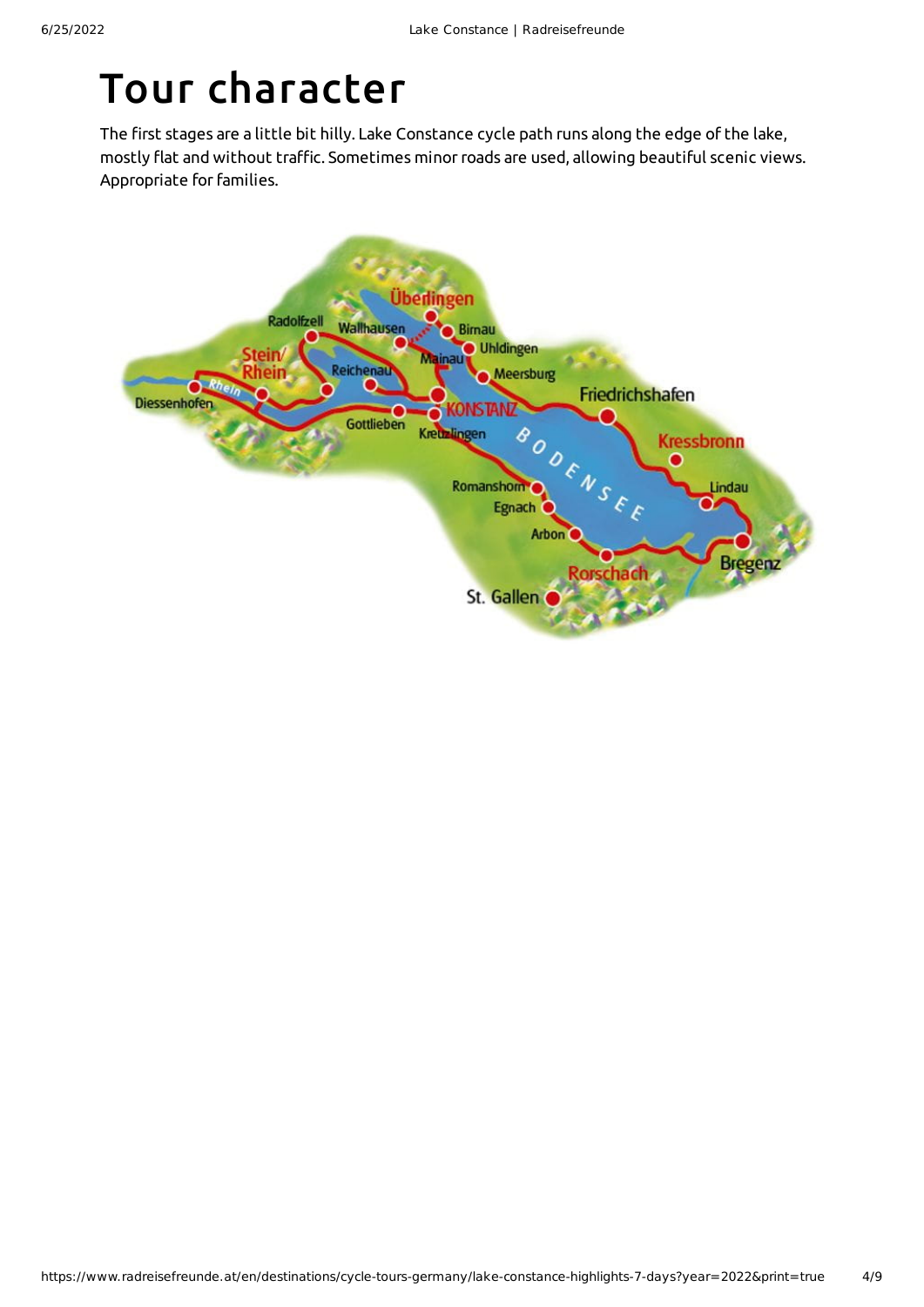# Tour character

The first stages are a little bit hilly. Lake Constance cycle path runs along the edge of the lake, mostly flat and without traffic. Sometimes minorroads are used, allowing beautiful scenic views. Appropriate for families.

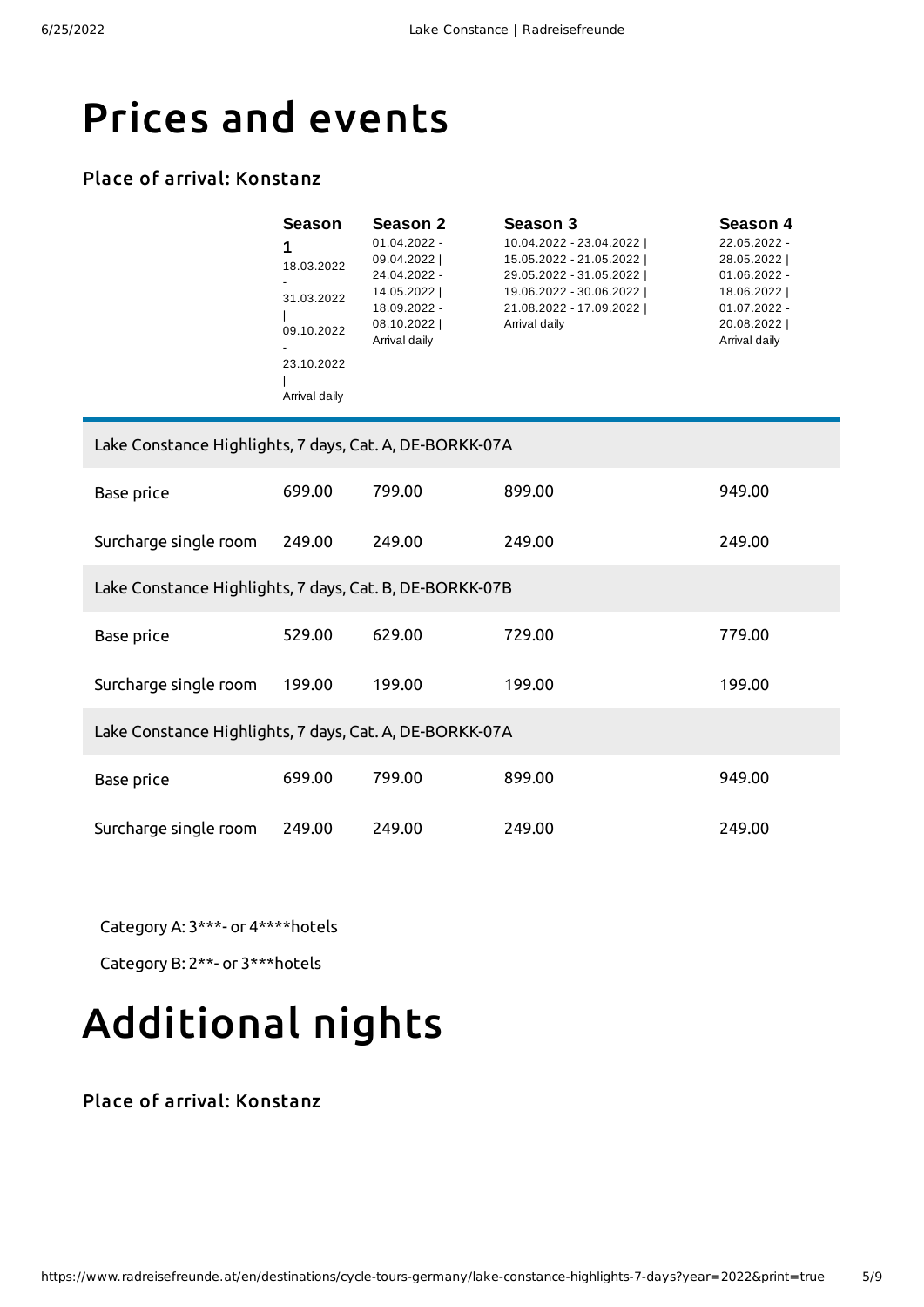## Prices and events

#### Place of arrival: Konstanz

| Season        | Season 2       | Season 3                | Season 4       |
|---------------|----------------|-------------------------|----------------|
|               | $01.04.2022 -$ | 10.04.2022 - 23.04.2022 | 22.05.2022 -   |
| 18.03.2022    | 09.04.2022     | 15.05.2022 - 21.05.2022 | 28.05.2022     |
|               | 24.04.2022 -   | 29.05.2022 - 31.05.2022 | $01.06.2022 -$ |
| 31.03.2022    | 14.05.2022     | 19.06.2022 - 30.06.2022 | 18.06.2022     |
|               | 18.09.2022 -   | 21.08.2022 - 17.09.2022 | $01.07.2022 -$ |
| 09.10.2022    | 08.10.2022     | Arrival daily           | 20.08.2022     |
|               | Arrival daily  |                         | Arrival daily  |
| 23.10.2022    |                |                         |                |
|               |                |                         |                |
| Arrival daily |                |                         |                |

| Lake Constance Highlights, 7 days, Cat. A, DE-BORKK-07A |        |        |        |        |  |
|---------------------------------------------------------|--------|--------|--------|--------|--|
| Base price                                              | 699.00 | 799.00 | 899.00 | 949.00 |  |
| Surcharge single room                                   | 249.00 | 249.00 | 249.00 | 249.00 |  |
| Lake Constance Highlights, 7 days, Cat. B, DE-BORKK-07B |        |        |        |        |  |
| Base price                                              | 529.00 | 629.00 | 729.00 | 779.00 |  |
| Surcharge single room                                   | 199.00 | 199.00 | 199.00 | 199.00 |  |
| Lake Constance Highlights, 7 days, Cat. A, DE-BORKK-07A |        |        |        |        |  |
| Base price                                              | 699.00 | 799.00 | 899.00 | 949.00 |  |
| Surcharge single room                                   | 249.00 | 249.00 | 249.00 | 249.00 |  |

Category A: 3\*\*\*- or 4\*\*\*\*hotels

Category B: 2\*\*- or 3\*\*\*hotels

# Additional nights

#### Place of arrival: Konstanz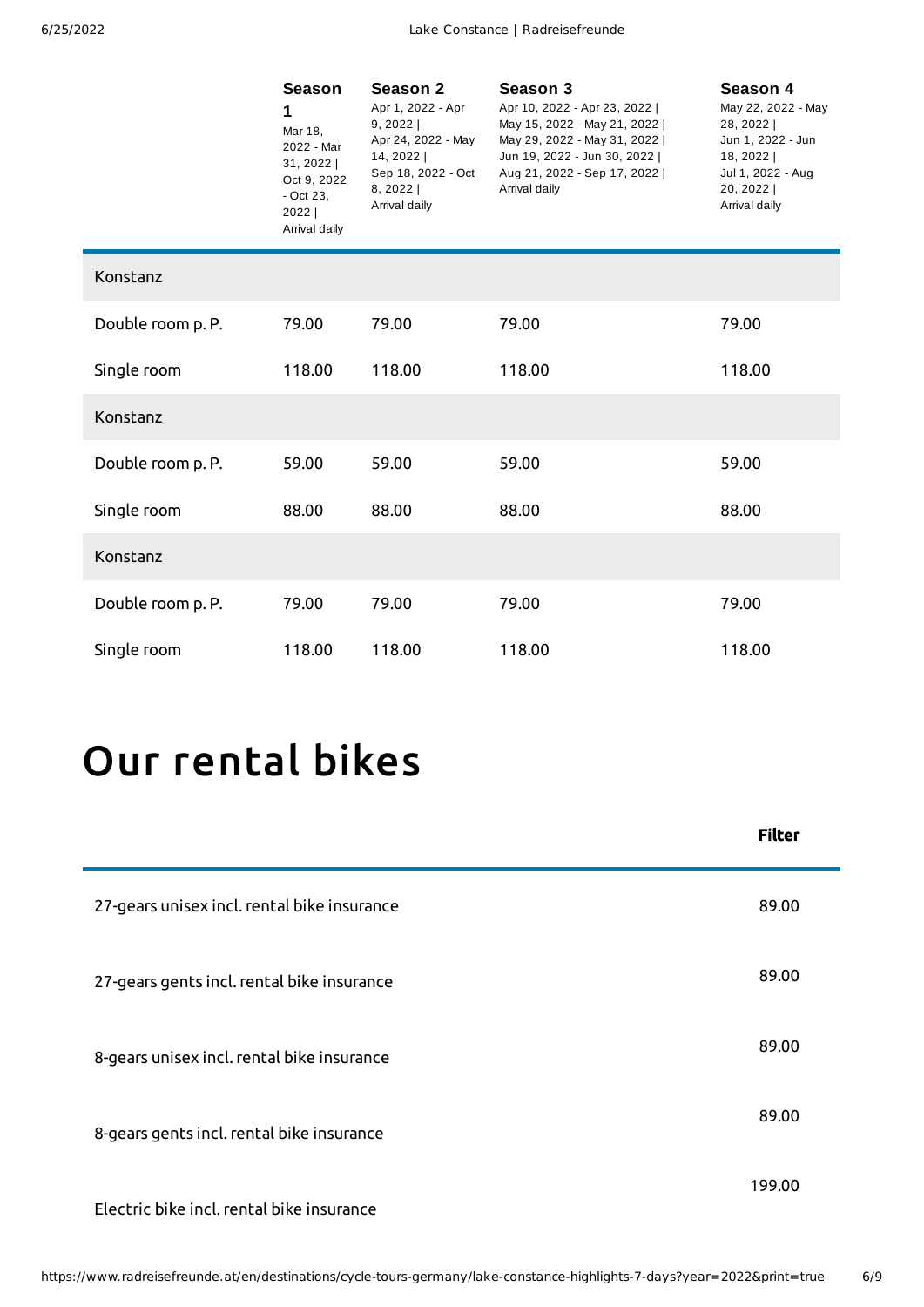|                   | <b>Season</b><br>1<br>Mar 18,<br>2022 - Mar<br>31, 2022  <br>Oct 9, 2022<br>- Oct 23,<br>2022  <br>Arrival daily | <b>Season 2</b><br>Apr 1, 2022 - Apr<br>9, 2022<br>Apr 24, 2022 - May<br>14, 2022  <br>Sep 18, 2022 - Oct<br>$8, 2022$  <br>Arrival daily | Season 3<br>Apr 10, 2022 - Apr 23, 2022  <br>May 15, 2022 - May 21, 2022  <br>May 29, 2022 - May 31, 2022  <br>Jun 19, 2022 - Jun 30, 2022  <br>Aug 21, 2022 - Sep 17, 2022  <br>Arrival daily | Season 4<br>May 22, 2022 - May<br>28, 2022  <br>Jun 1, 2022 - Jun<br>18, 2022  <br>Jul 1, 2022 - Aug<br>20, 2022  <br>Arrival daily |
|-------------------|------------------------------------------------------------------------------------------------------------------|-------------------------------------------------------------------------------------------------------------------------------------------|------------------------------------------------------------------------------------------------------------------------------------------------------------------------------------------------|-------------------------------------------------------------------------------------------------------------------------------------|
| Konstanz          |                                                                                                                  |                                                                                                                                           |                                                                                                                                                                                                |                                                                                                                                     |
| Double room p. P. | 79.00                                                                                                            | 79.00                                                                                                                                     | 79.00                                                                                                                                                                                          | 79.00                                                                                                                               |
| Single room       | 118.00                                                                                                           | 118.00                                                                                                                                    | 118.00                                                                                                                                                                                         | 118.00                                                                                                                              |
| Konstanz          |                                                                                                                  |                                                                                                                                           |                                                                                                                                                                                                |                                                                                                                                     |
| Double room p. P. | 59.00                                                                                                            | 59.00                                                                                                                                     | 59.00                                                                                                                                                                                          | 59.00                                                                                                                               |
| Single room       | 88.00                                                                                                            | 88.00                                                                                                                                     | 88.00                                                                                                                                                                                          | 88.00                                                                                                                               |
| Konstanz          |                                                                                                                  |                                                                                                                                           |                                                                                                                                                                                                |                                                                                                                                     |
| Double room p. P. | 79.00                                                                                                            | 79.00                                                                                                                                     | 79.00                                                                                                                                                                                          | 79.00                                                                                                                               |
| Single room       | 118.00                                                                                                           | 118.00                                                                                                                                    | 118.00                                                                                                                                                                                         | 118.00                                                                                                                              |

# Our [rental](#page-5-0) bikes

<span id="page-5-0"></span>

|                                             | <b>Filter</b> |
|---------------------------------------------|---------------|
| 27-gears unisex incl. rental bike insurance | 89.00         |
| 27-gears gents incl. rental bike insurance  | 89.00         |
| 8-gears unisex incl. rental bike insurance  | 89.00         |
| 8-gears gents incl. rental bike insurance   | 89.00         |
| Electric bike incl. rental bike insurance   | 199.00        |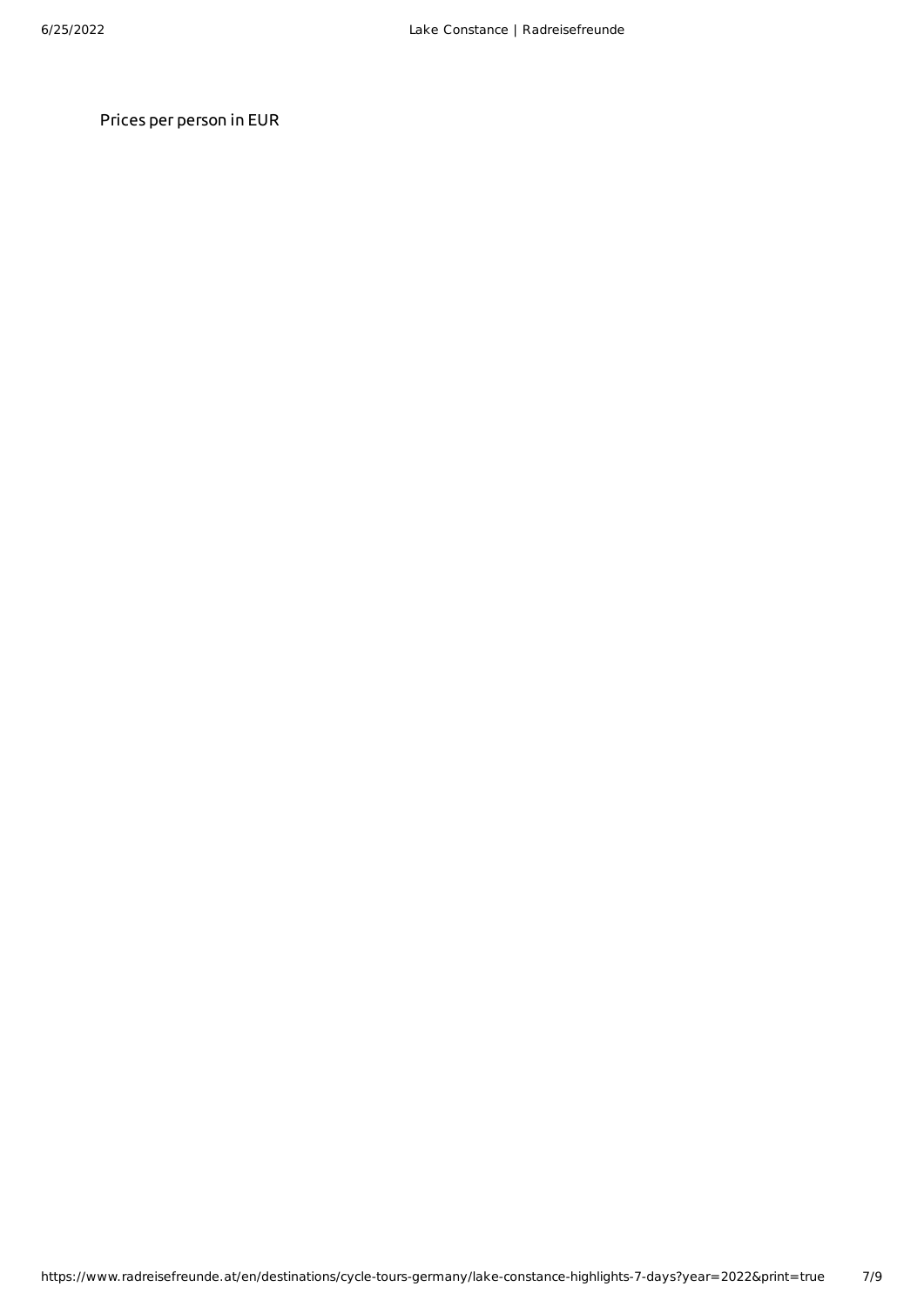Prices per person in EUR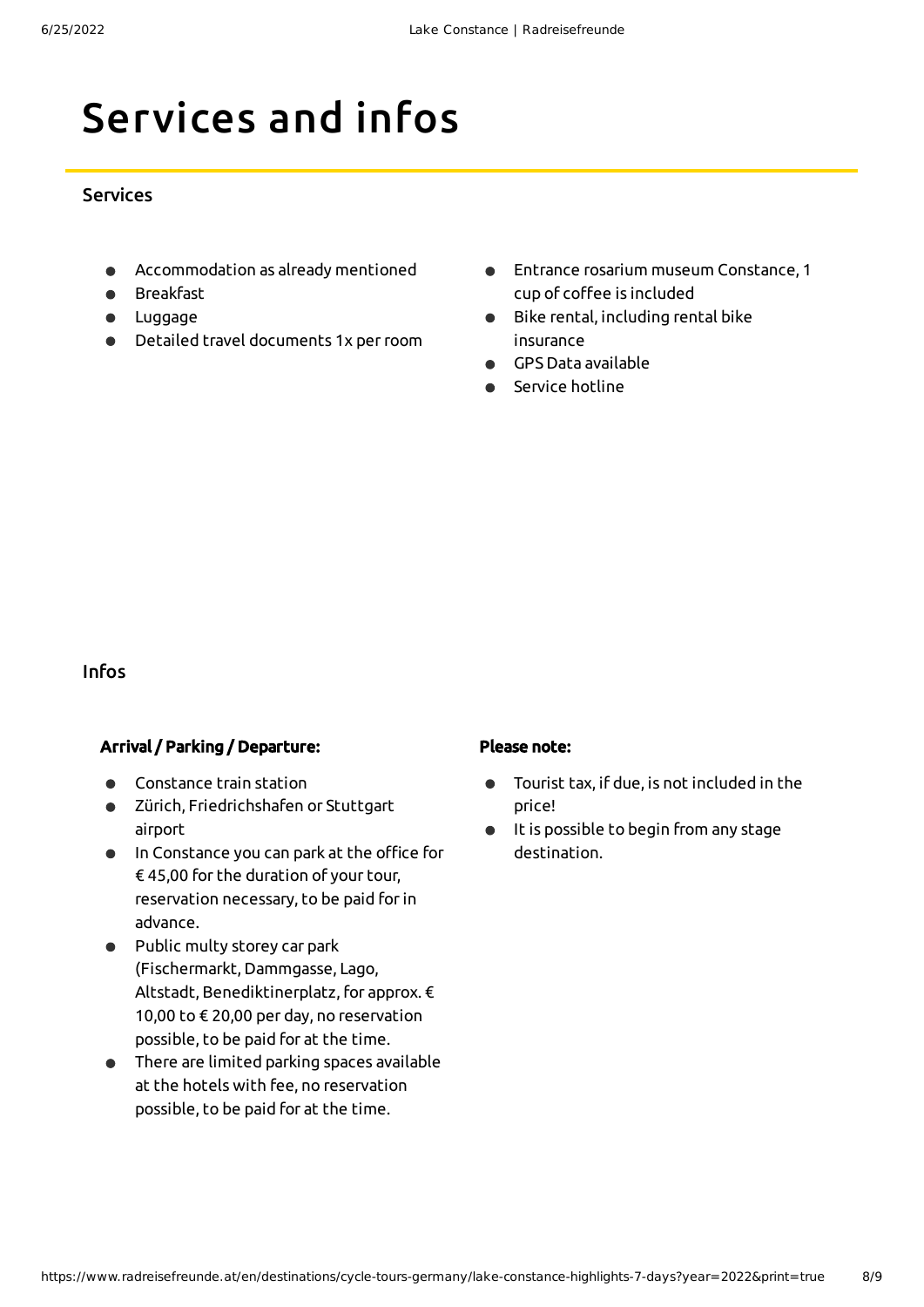# Services and infos

#### **Services**

- Accommodation as already mentioned
- Breakfast
- **•** Luggage
- Detailed travel documents 1x perroom
- Entrance rosarium museum Constance, 1 cup of coffee is included
- Bike rental, including rental bike  $\bullet$ insurance
- GPS Data available
- Service hotline

#### Infos

#### Arrival / Parking / Departure:

- Constance train station
- Zürich, Friedrichshafen or Stuttgart airport
- $\bullet$  In Constance you can park at the office for € 45,00 for the duration of your tour, reservation necessary, to be paid forin advance.
- Public multy storey car park (Fischermarkt, Dammgasse, Lago, Altstadt, Benediktinerplatz, for approx. € 10,00 to € 20,00 per day, no reservation possible, to be paid for at the time.
- There are limited parking spaces available  $\bullet$ at the hotels with fee, no reservation possible, to be paid for at the time.

#### Please note:

- Tourist tax, if due, is not included in the  $\bullet$ price!
- It is possible to begin from any stage  $\bullet$ destination.